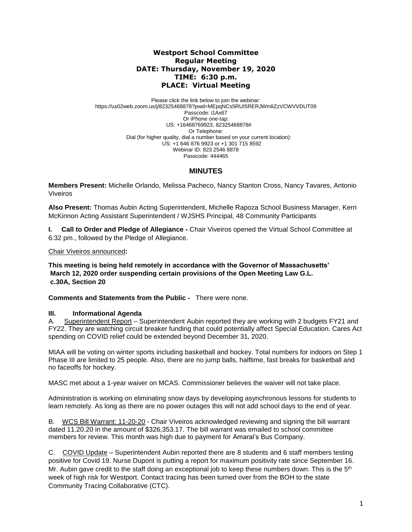## **Westport School Committee Regular Meeting DATE: Thursday, November 19, 2020 TIME: 6:30 p.m. PLACE: Virtual Meeting**

Please click the link below to join the webinar: https://us02web.zoom.us/j/82325468878?pwd=MEpqNCs5RUI5RERJWmliZzVCWVVDUT09 Passcode: i1Ax67 Or iPhone one-tap: US: +16468769923, 82325468878# Or Telephone: Dial (for higher quality, dial a number based on your current location): US: +1 646 876 9923 or +1 301 715 8592 Webinar ID: 823 2546 8878 Passcode: 444465

# **MINUTES**

**Members Present:** Michelle Orlando, Melissa Pacheco, Nancy Stanton Cross, Nancy Tavares*,* Antonio Viveiros

**Also Present:** Thomas Aubin Acting Superintendent, Michelle Rapoza School Business Manager, Kerri McKinnon Acting Assistant Superintendent / WJSHS Principal, 48 Community Participants

**I.** Call to Order and Pledge of Allegiance - Chair Viveiros opened the Virtual School Committee at 6:32 pm., followed by the Pledge of Allegiance.

Chair Viveiros announced**:** 

**This meeting is being held remotely in accordance with the Governor of Massachusetts' March 12, 2020 order suspending certain provisions of the Open Meeting Law G.L. c.30A, Section 20**

**Comments and Statements from the Public -** There were none.

## **III. Informational Agenda**

A. Superintendent Report – Superintendent Aubin reported they are working with 2 budgets FY21 and FY22. They are watching circuit breaker funding that could potentially affect Special Education. Cares Act spending on COVID relief could be extended beyond December 31, 2020.

MIAA will be voting on winter sports including basketball and hockey. Total numbers for indoors on Step 1 Phase III are limited to 25 people. Also, there are no jump balls, halftime, fast breaks for basketball and no faceoffs for hockey.

MASC met about a 1-year waiver on MCAS. Commissioner believes the waiver will not take place.

Administration is working on eliminating snow days by developing asynchronous lessons for students to learn remotely. As long as there are no power outages this will not add school days to the end of year.

B. WCS Bill Warrant: 11-20-20 - Chair Viveiros acknowledged reviewing and signing the bill warrant dated 11.20.20 in the amount of \$326,353.17. The bill warrant was emailed to school committee members for review. This month was high due to payment for Amaral's Bus Company.

C. COVID Update – Superintendent Aubin reported there are 8 students and 6 staff members testing positive for Covid 19. Nurse Dupont is putting a report for maximum positivity rate since September 16. Mr. Aubin gave credit to the staff doing an exceptional job to keep these numbers down. This is the 5<sup>th</sup> week of high risk for Westport. Contact tracing has been turned over from the BOH to the state Community Tracing Collaborative (CTC).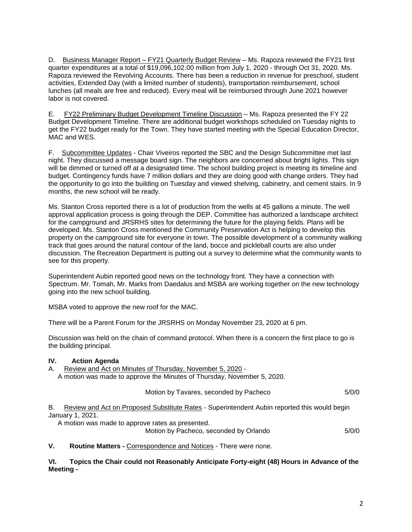D. Business Manager Report – FY21 Quarterly Budget Review – Ms. Rapoza reviewed the FY21 first quarter expenditures at a total of \$19,096,102.00 million from July 1, 2020 - through Oct 31, 2020. Ms. Rapoza reviewed the Revolving Accounts. There has been a reduction in revenue for preschool, student activities, Extended Day (with a limited number of students), transportation reimbursement, school lunches (all meals are free and reduced). Every meal will be reimbursed through June 2021 however labor is not covered.

E. FY22 Preliminary Budget Development Timeline Discussion – Ms. Rapoza presented the FY 22 Budget Development Timeline. There are additional budget workshops scheduled on Tuesday nights to get the FY22 budget ready for the Town. They have started meeting with the Special Education Director, MAC and WES.

F. Subcommittee Updates - Chair Viveiros reported the SBC and the Design Subcommittee met last night. They discussed a message board sign. The neighbors are concerned about bright lights. This sign will be dimmed or turned off at a designated time. The school building project is meeting its timeline and budget. Contingency funds have 7 million dollars and they are doing good with change orders. They had the opportunity to go into the building on Tuesday and viewed shelving, cabinetry, and cement stairs. In 9 months, the new school will be ready.

Ms. Stanton Cross reported there is a lot of production from the wells at 45 gallons a minute. The well approval application process is going through the DEP. Committee has authorized a landscape architect for the campground and JRSRHS sites for determining the future for the playing fields. Plans will be developed. Ms. Stanton Cross mentioned the Community Preservation Act is helping to develop this property on the campground site for everyone in town. The possible development of a community walking track that goes around the natural contour of the land, bocce and pickleball courts are also under discussion. The Recreation Department is putting out a survey to determine what the community wants to see for this property.

Superintendent Aubin reported good news on the technology front. They have a connection with Spectrum. Mr. Tomah, Mr. Marks from Daedalus and MSBA are working together on the new technology going into the new school building.

MSBA voted to approve the new roof for the MAC.

There will be a Parent Forum for the JRSRHS on Monday November 23, 2020 at 6 pm.

Discussion was held on the chain of command protocol. When there is a concern the first place to go is the building principal.

## **IV. Action Agenda**

A. Review and Act on Minutes of Thursday, November 5, 2020 -

A motion was made to approve the Minutes of Thursday, November 5, 2020.

Motion by Tavares, seconded by Pacheco 5/0/0

B. Review and Act on Proposed Substitute Rates - Superintendent Aubin reported this would begin January 1, 2021.

A motion was made to approve rates as presented.

Motion by Pacheco, seconded by Orlando 5/0/0

#### **V. Routine Matters -** Correspondence and Notices - There were none.

**VI. Topics the Chair could not Reasonably Anticipate Forty-eight (48) Hours in Advance of the Meeting -**